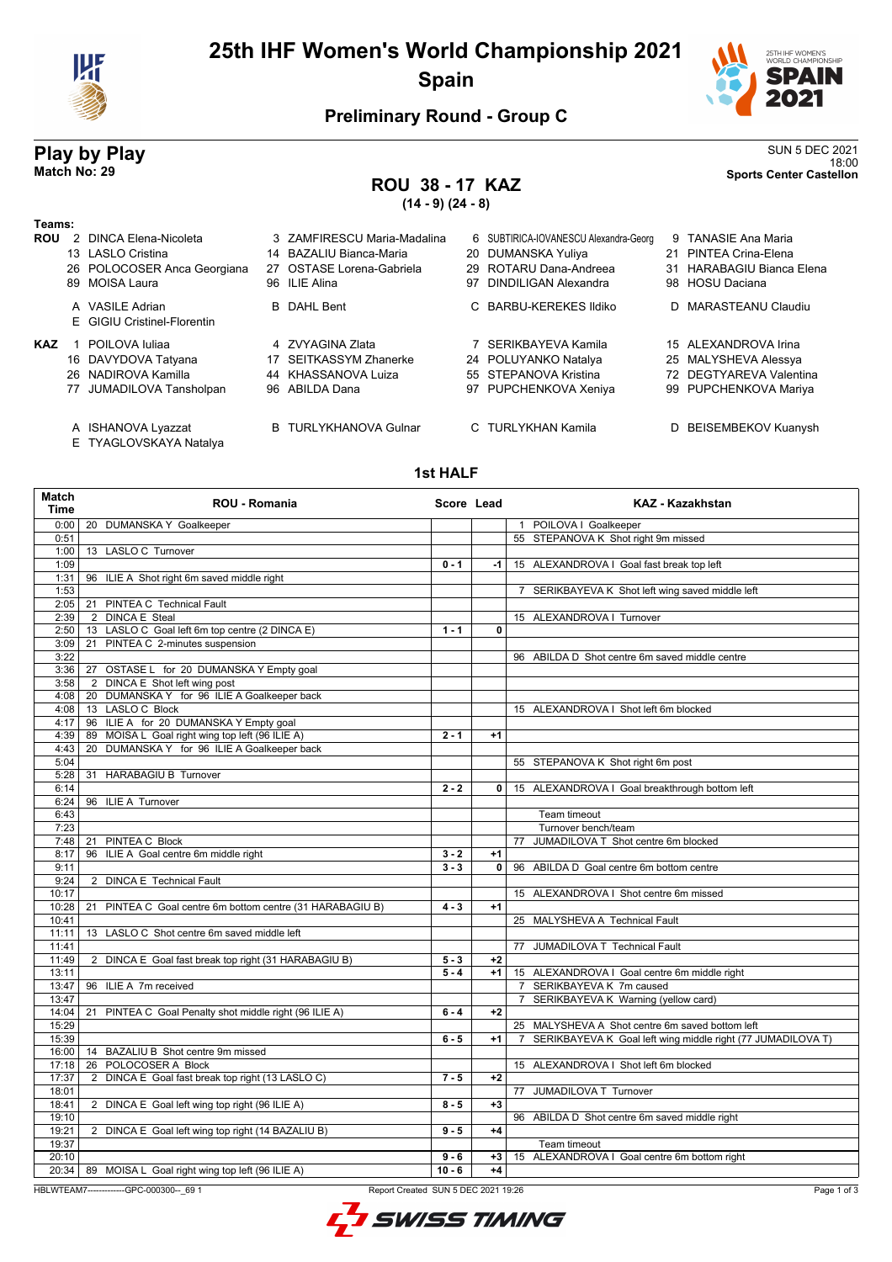

## **25th IHF Women's World Championship 2021 Spain**



## **Preliminary Round - Group C**

## **ROU 38 - 17 KAZ**

**Play by Play**<br>Match No: 29<br>Sports Center Castellon 18:00 **Match No: 29 Sports Center Castellon**

# **(14 - 9) (24 - 8)**

| Teams:     |    |                             |  |                             |    |                                       |  |                           |
|------------|----|-----------------------------|--|-----------------------------|----|---------------------------------------|--|---------------------------|
| <b>ROU</b> |    | 2 DINCA Elena-Nicoleta      |  | 3 ZAMFIRESCU Maria-Madalina |    | 6 SUBTIRICA-IOVANESCU Alexandra-Georg |  | 9 TANASIE Ana Maria       |
|            |    | 13 LASLO Cristina           |  | 14 BAZALIU Bianca-Maria     |    | 20 DUMANSKA Yuliya                    |  | 21 PINTEA Crina-Elena     |
|            |    | 26 POLOCOSER Anca Georgiana |  | 27 OSTASE Lorena-Gabriela   |    | 29 ROTARU Dana-Andreea                |  | 31 HARABAGIU Bianca Elena |
|            |    | 89 MOISA Laura              |  | 96 ILIE Alina               | 97 | <b>DINDILIGAN Alexandra</b>           |  | 98 HOSU Daciana           |
|            |    | A VASILE Adrian             |  | <b>B</b> DAHL Bent          |    | C BARBU-KEREKES Ildiko                |  | D MARASTEANU Claudiu      |
|            |    | E GIGIU Cristinel-Florentin |  |                             |    |                                       |  |                           |
| <b>KAZ</b> |    | POILOVA Iuliaa              |  | 4 ZVYAGINA Zlata            |    | SERIKBAYEVA Kamila                    |  | 15 ALEXANDROVA Irina      |
|            |    | 16 DAVYDOVA Tatyana         |  | 17 SEITKASSYM Zhanerke      |    | 24 POLUYANKO Natalya                  |  | 25 MALYSHEVA Alessya      |
|            |    | 26 NADIROVA Kamilla         |  | 44 KHASSANOVA Luiza         |    | 55 STEPANOVA Kristina                 |  | 72 DEGTYAREVA Valentina   |
|            | 77 | JUMADILOVA Tansholpan       |  | 96 ABILDA Dana              | 97 | PUPCHENKOVA Xeniya                    |  | 99 PUPCHENKOVA Mariya     |
|            |    |                             |  |                             |    |                                       |  |                           |
|            |    |                             |  |                             |    |                                       |  |                           |

- A ISHANOVA Lyazzat B TURLYKHANOVA Gulnar C TURLYKHAN Kamila D BEISEMBEKOV Kuanysh
- E TYAGLOVSKAYA Natalya

### **1st HALF**

| Match<br><b>Time</b> | <b>ROU - Romania</b>                                                                          | Score Lead |                | <b>KAZ - Kazakhstan</b>                                       |  |  |
|----------------------|-----------------------------------------------------------------------------------------------|------------|----------------|---------------------------------------------------------------|--|--|
| 0:00                 | 20 DUMANSKA Y Goalkeeper                                                                      |            |                | 1 POILOVA I Goalkeeper                                        |  |  |
| 0:51                 |                                                                                               |            |                | 55 STEPANOVA K Shot right 9m missed                           |  |  |
| 1:00                 | 13 LASLO C Turnover                                                                           |            |                |                                                               |  |  |
| 1:09                 |                                                                                               | $0 - 1$    | -1             | 15 ALEXANDROVA I Goal fast break top left                     |  |  |
| 1:31                 | 96 ILIE A Shot right 6m saved middle right                                                    |            |                |                                                               |  |  |
| 1:53                 |                                                                                               |            |                | 7 SERIKBAYEVA K Shot left wing saved middle left              |  |  |
| 2:05                 | 21 PINTEA C Technical Fault                                                                   |            |                |                                                               |  |  |
| 2:39                 | 2 DINCA E Steal                                                                               |            |                | 15 ALEXANDROVA I Turnover                                     |  |  |
| 2:50                 | 13 LASLO C Goal left 6m top centre (2 DINCA E)                                                | $1 - 1$    | 0              |                                                               |  |  |
| 3:09                 | 21 PINTEA C 2-minutes suspension                                                              |            |                |                                                               |  |  |
| 3:22                 |                                                                                               |            |                | 96 ABILDA D Shot centre 6m saved middle centre                |  |  |
| 3:36                 | 27 OSTASE L for 20 DUMANSKA Y Empty goal                                                      |            |                |                                                               |  |  |
| 3:58                 | 2 DINCA E Shot left wing post                                                                 |            |                |                                                               |  |  |
|                      | 4:08   20 DUMANSKA Y for 96 ILIE A Goalkeeper back                                            |            |                |                                                               |  |  |
|                      | 4:08 13 LASLO C Block                                                                         |            |                | 15 ALEXANDROVA I Shot left 6m blocked                         |  |  |
| 4:17                 | 96 ILIE A for 20 DUMANSKA Y Empty goal                                                        |            |                |                                                               |  |  |
| 4:39                 | 89 MOISA L Goal right wing top left (96 ILIE A)                                               | $2 - 1$    | $+1$           |                                                               |  |  |
| 4:43                 | DUMANSKA Y for 96 ILIE A Goalkeeper back<br>20                                                |            |                |                                                               |  |  |
| 5:04                 |                                                                                               |            |                | 55 STEPANOVA K Shot right 6m post                             |  |  |
| 5:28                 | 31 HARABAGIU B Turnover                                                                       |            |                |                                                               |  |  |
| 6:14                 |                                                                                               | $2 - 2$    | $\overline{0}$ | 15 ALEXANDROVA I Goal breakthrough bottom left                |  |  |
| 6:24                 | 96 ILIE A Turnover                                                                            |            |                |                                                               |  |  |
| 6:43                 |                                                                                               |            |                | Team timeout                                                  |  |  |
| 7:23                 |                                                                                               |            |                | Turnover bench/team                                           |  |  |
| 7:48                 | 21 PINTEA C Block                                                                             |            |                | 77 JUMADILOVA T Shot centre 6m blocked                        |  |  |
| 8:17                 | 96 ILIE A Goal centre 6m middle right                                                         | $3 - 2$    | $+1$           |                                                               |  |  |
| 9:11                 |                                                                                               | $3 - 3$    | $\mathbf{0}$   | 96 ABILDA D Goal centre 6m bottom centre                      |  |  |
| 9:24                 | 2 DINCA E Technical Fault                                                                     |            |                |                                                               |  |  |
| 10:17                |                                                                                               |            |                | 15 ALEXANDROVA I Shot centre 6m missed                        |  |  |
| 10:28                | 21 PINTEA C Goal centre 6m bottom centre (31 HARABAGIU B)                                     | $4 - 3$    | $+1$           |                                                               |  |  |
| 10:41                |                                                                                               |            |                | 25 MALYSHEVA A Technical Fault                                |  |  |
| 11:11                | 13 LASLO C Shot centre 6m saved middle left                                                   |            |                |                                                               |  |  |
| 11:41                |                                                                                               |            |                | 77 JUMADILOVA T Technical Fault                               |  |  |
| 11:49                |                                                                                               | $5 - 3$    | $+2$           |                                                               |  |  |
| 13:11                | 2 DINCA E Goal fast break top right (31 HARABAGIU B)                                          | $5 - 4$    | $+1$           | 15 ALEXANDROVA I Goal centre 6m middle right                  |  |  |
| 13:47                | 96 ILIE A 7m received                                                                         |            |                | 7 SERIKBAYEVA K 7m caused                                     |  |  |
| 13:47                |                                                                                               |            |                | 7 SERIKBAYEVA K Warning (yellow card)                         |  |  |
| 14:04                |                                                                                               | $6 - 4$    | $+2$           |                                                               |  |  |
| 15:29                | 21 PINTEA C Goal Penalty shot middle right (96 ILIE A)                                        |            |                | 25 MALYSHEVA A Shot centre 6m saved bottom left               |  |  |
| 15:39                |                                                                                               | $6 - 5$    | $+1$           | 7 SERIKBAYEVA K Goal left wing middle right (77 JUMADILOVA T) |  |  |
| 16:00                | 14 BAZALIU B Shot centre 9m missed                                                            |            |                |                                                               |  |  |
| 17:18                | 26 POLOCOSER A Block                                                                          |            |                | 15 ALEXANDROVA I Shot left 6m blocked                         |  |  |
|                      |                                                                                               |            |                |                                                               |  |  |
| 17:37<br>18:01       | 2 DINCA E Goal fast break top right (13 LASLO C)                                              | $7 - 5$    | $+2$           |                                                               |  |  |
| 18:41                | 2 DINCA E Goal left wing top right (96 ILIE A)                                                | $8 - 5$    | $+3$           | 77 JUMADILOVA T Turnover                                      |  |  |
| 19:10                |                                                                                               |            |                |                                                               |  |  |
|                      |                                                                                               |            |                | 96 ABILDA D Shot centre 6m saved middle right                 |  |  |
| 19:21                | 2 DINCA E Goal left wing top right (14 BAZALIU B)                                             | $9 - 5$    | $+4$           |                                                               |  |  |
| 19:37                |                                                                                               |            |                | Team timeout                                                  |  |  |
| 20:10                |                                                                                               | $9 - 6$    | $+3$           | 15 ALEXANDROVA I Goal centre 6m bottom right                  |  |  |
|                      | 20:34   89 MOISA L Goal right wing top left (96 ILIE A)                                       | $10 - 6$   | $+4$           |                                                               |  |  |
|                      | HBLWTEAM7-------------GPC-000300-- 69 1<br>Report Created SUN 5 DEC 2021 19:26<br>Page 1 of 3 |            |                |                                                               |  |  |

Page 1 of 3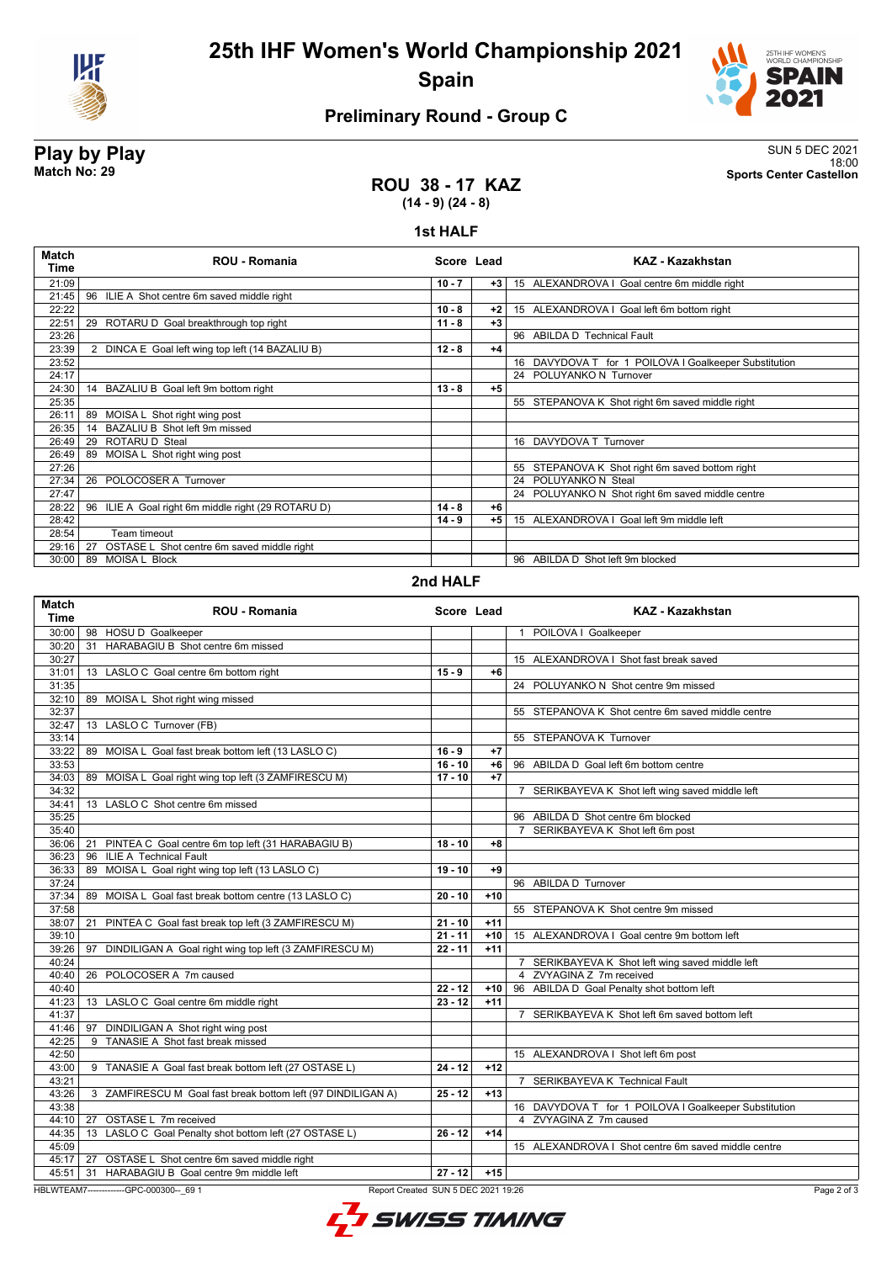



## **Preliminary Round - Group C**

**Play by Play**<br>Match No: 29<br>Sports Center Castellon 18:00 **Match No: 29 Sports Center Castellon**

### **ROU 38 - 17 KAZ (14 - 9) (24 - 8)**

### **1st HALF**

| <b>Match</b><br>Time | <b>ROU - Romania</b>                               | Score Lead |       | KAZ - Kazakhstan                                      |
|----------------------|----------------------------------------------------|------------|-------|-------------------------------------------------------|
| 21:09                |                                                    | $10 - 7$   | $+3 $ | 15 ALEXANDROVA I Goal centre 6m middle right          |
| 21:45                | 96<br>ILIE A Shot centre 6m saved middle right     |            |       |                                                       |
| 22:22                |                                                    | $10 - 8$   | +2    | 15 ALEXANDROVA I Goal left 6m bottom right            |
| 22:51                | 29 ROTARU D Goal breakthrough top right            | $11 - 8$   | $+3$  |                                                       |
| 23:26                |                                                    |            |       | 96 ABILDA D Technical Fault                           |
| 23:39                | 2 DINCA E Goal left wing top left (14 BAZALIU B)   | $12 - 8$   | $+4$  |                                                       |
| 23:52                |                                                    |            |       | 16 DAVYDOVA T for 1 POILOVA I Goalkeeper Substitution |
| 24:17                |                                                    |            |       | 24 POLUYANKO N Turnover                               |
| 24:30                | 14 BAZALIU B Goal left 9m bottom right             | $13 - 8$   | $+5$  |                                                       |
| 25:35                |                                                    |            |       | 55 STEPANOVA K Shot right 6m saved middle right       |
| 26:11                | 89 MOISA L Shot right wing post                    |            |       |                                                       |
| 26:35                | 14 BAZALIU B Shot left 9m missed                   |            |       |                                                       |
| 26:49                | ROTARU D Steal<br>29                               |            |       | 16 DAVYDOVA T Turnover                                |
| 26:49                | 89 MOISA L Shot right wing post                    |            |       |                                                       |
| 27:26                |                                                    |            |       | 55 STEPANOVA K Shot right 6m saved bottom right       |
| 27:34                | POLOCOSER A Turnover<br>26                         |            |       | 24 POLUYANKO N Steal                                  |
| 27:47                |                                                    |            |       | 24 POLUYANKO N Shot right 6m saved middle centre      |
| 28:22                | 96 ILIE A Goal right 6m middle right (29 ROTARU D) | $14 - 8$   | +6    |                                                       |
| 28:42                |                                                    | $14 - 9$   | $+5$  | 15 ALEXANDROVA I Goal left 9m middle left             |
| 28:54                | Team timeout                                       |            |       |                                                       |
| 29:16                | OSTASE L Shot centre 6m saved middle right<br>27   |            |       |                                                       |
| 30:00                | <b>MOISA L Block</b><br>89                         |            |       | 96 ABILDA D Shot left 9m blocked                      |
|                      |                                                    |            |       |                                                       |

### **2nd HALF**

| <b>Match</b><br><b>Time</b>         | <b>ROU - Romania</b>                                         |           | Score Lead | <b>KAZ - Kazakhstan</b>                               |  |  |
|-------------------------------------|--------------------------------------------------------------|-----------|------------|-------------------------------------------------------|--|--|
|                                     | 30:00   98 HOSU D Goalkeeper                                 |           |            | 1 POILOVA I Goalkeeper                                |  |  |
| 30:20                               | 31 HARABAGIU B Shot centre 6m missed                         |           |            |                                                       |  |  |
| 30:27                               |                                                              |           |            | 15 ALEXANDROVA I Shot fast break saved                |  |  |
| 31:01                               | 13 LASLO C Goal centre 6m bottom right                       | $15 - 9$  | $+6$       |                                                       |  |  |
| 31:35                               |                                                              |           |            | 24 POLUYANKO N Shot centre 9m missed                  |  |  |
| 32:10                               | 89 MOISA L Shot right wing missed                            |           |            |                                                       |  |  |
| 32:37                               |                                                              |           |            | 55 STEPANOVA K Shot centre 6m saved middle centre     |  |  |
| 32:47                               | 13 LASLO C Turnover (FB)                                     |           |            |                                                       |  |  |
| 33:14                               |                                                              |           |            | 55 STEPANOVA K Turnover                               |  |  |
| 33:22                               | 89 MOISA L Goal fast break bottom left (13 LASLO C)          | $16 - 9$  | $+7$       |                                                       |  |  |
| 33:53                               |                                                              | $16 - 10$ | $+6$       | 96 ABILDA D Goal left 6m bottom centre                |  |  |
| 34:03                               | 89 MOISA L Goal right wing top left (3 ZAMFIRESCU M)         | $17 - 10$ | $+7$       |                                                       |  |  |
| 34:32                               |                                                              |           |            | 7 SERIKBAYEVA K Shot left wing saved middle left      |  |  |
| 34:41                               | 13 LASLO C Shot centre 6m missed                             |           |            |                                                       |  |  |
| 35:25                               |                                                              |           |            | 96 ABILDA D Shot centre 6m blocked                    |  |  |
| 35:40                               |                                                              |           |            | 7 SERIKBAYEVA K Shot left 6m post                     |  |  |
|                                     | 36:06   21 PINTEA C Goal centre 6m top left (31 HARABAGIU B) | $18 - 10$ | $+8$       |                                                       |  |  |
| 36:23                               | <b>ILIE A Technical Fault</b><br>96                          |           |            |                                                       |  |  |
| 36:33                               | 89 MOISA L Goal right wing top left (13 LASLO C)             | $19 - 10$ | $+9$       |                                                       |  |  |
| 37:24                               |                                                              |           |            | 96 ABILDA D Turnover                                  |  |  |
| 37:34                               | 89 MOISA L Goal fast break bottom centre (13 LASLO C)        | $20 - 10$ | $+10$      |                                                       |  |  |
| 37:58                               |                                                              |           |            | 55 STEPANOVA K Shot centre 9m missed                  |  |  |
| 38:07                               | 21 PINTEA C Goal fast break top left (3 ZAMFIRESCU M)        | $21 - 10$ | $+11$      |                                                       |  |  |
| 39:10                               |                                                              | $21 - 11$ | $+10$      | 15 ALEXANDROVA I Goal centre 9m bottom left           |  |  |
| 39:26                               | DINDILIGAN A Goal right wing top left (3 ZAMFIRESCU M)<br>97 | $22 - 11$ | $+11$      |                                                       |  |  |
| 40:24                               |                                                              |           |            | 7 SERIKBAYEVA K Shot left wing saved middle left      |  |  |
| 40:40                               | 26 POLOCOSER A 7m caused                                     |           |            | 4 ZVYAGINA Z 7m received                              |  |  |
| 40:40                               |                                                              | $22 - 12$ | $+10$      | 96 ABILDA D Goal Penalty shot bottom left             |  |  |
| 41:23                               | 13 LASLO C Goal centre 6m middle right                       | $23 - 12$ | $+11$      |                                                       |  |  |
| 41:37                               |                                                              |           |            | 7 SERIKBAYEVA K Shot left 6m saved bottom left        |  |  |
| 41:46                               | 97 DINDILIGAN A Shot right wing post                         |           |            |                                                       |  |  |
| 42:25                               | 9 TANASIE A Shot fast break missed                           |           |            |                                                       |  |  |
| 42:50                               |                                                              |           |            | 15 ALEXANDROVA I Shot left 6m post                    |  |  |
| 43:00                               | 9 TANASIE A Goal fast break bottom left (27 OSTASE L)        | $24 - 12$ | $+12$      |                                                       |  |  |
| 43:21                               |                                                              |           |            | 7 SERIKBAYEVA K Technical Fault                       |  |  |
| 43:26                               | 3 ZAMFIRESCU M Goal fast break bottom left (97 DINDILIGAN A) | $25 - 12$ | $+13$      |                                                       |  |  |
| 43:38                               |                                                              |           |            | 16 DAVYDOVA T for 1 POILOVA I Goalkeeper Substitution |  |  |
| 44:10                               | 27 OSTASE L 7m received                                      |           |            | 4 ZVYAGINA Z 7m caused                                |  |  |
| 44:35                               | 13 LASLO C Goal Penalty shot bottom left (27 OSTASE L)       | $26 - 12$ | $+14$      |                                                       |  |  |
| 45:09                               |                                                              |           |            | 15 ALEXANDROVA I Shot centre 6m saved middle centre   |  |  |
| 45:17                               | 27 OSTASE L Shot centre 6m saved middle right                |           |            |                                                       |  |  |
| 45:51                               | 31 HARABAGIU B Goal centre 9m middle left                    | $27 - 12$ | $+15$      |                                                       |  |  |
|                                     | HBLWTEAM7--------------GPC-000300-- 69 1                     |           |            | Page 2 of 3                                           |  |  |
| Report Created SUN 5 DEC 2021 19:26 |                                                              |           |            |                                                       |  |  |